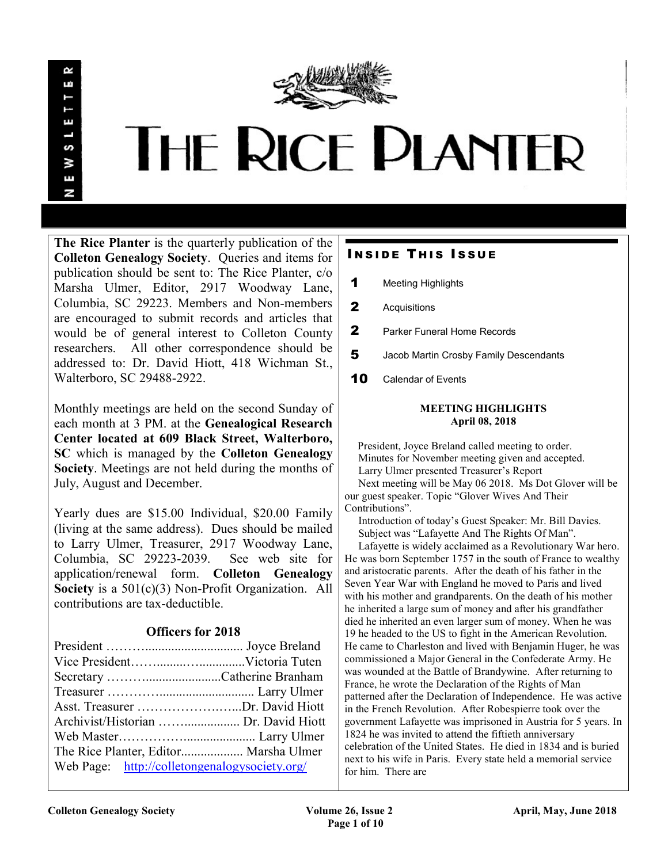

# **THE RICE PLANTER**

The Rice Planter is the quarterly publication of the Colleton Genealogy Society. Queries and items for publication should be sent to: The Rice Planter, c/o Marsha Ulmer, Editor, 2917 Woodway Lane, Columbia, SC 29223. Members and Non-members are encouraged to submit records and articles that would be of general interest to Colleton County researchers. All other correspondence should be addressed to: Dr. David Hiott, 418 Wichman St., Walterboro, SC 29488-2922.

Monthly meetings are held on the second Sunday of each month at 3 PM. at the Genealogical Research Center located at 609 Black Street, Walterboro, SC which is managed by the Colleton Genealogy Society. Meetings are not held during the months of July, August and December.

Yearly dues are \$15.00 Individual, \$20.00 Family (living at the same address). Dues should be mailed to Larry Ulmer, Treasurer, 2917 Woodway Lane, Columbia, SC 29223-2039. See web site for application/renewal form. Colleton Genealogy Society is a  $501(c)(3)$  Non-Profit Organization. All contributions are tax-deductible.

## Officers for 2018

| Asst. Treasurer Dr. David Hiott               |  |
|-----------------------------------------------|--|
|                                               |  |
|                                               |  |
| The Rice Planter, Editor Marsha Ulmer         |  |
| Web Page: http://colletongenalogysociety.org/ |  |

# **INSIDE THIS ISSUE**

- 1 Meeting Highlights
- 2 Acquisitions
- 2 Parker Funeral Home Records
- 5 Jacob Martin Crosby Family Descendants
- 10 Calendar of Events

#### MEETING HIGHLIGHTS April 08, 2018

 President, Joyce Breland called meeting to order. Minutes for November meeting given and accepted. Larry Ulmer presented Treasurer's Report Next meeting will be May 06 2018. Ms Dot Glover will be our guest speaker. Topic "Glover Wives And Their Contributions".

 Introduction of today's Guest Speaker: Mr. Bill Davies. Subject was "Lafayette And The Rights Of Man".

 Lafayette is widely acclaimed as a Revolutionary War hero. He was born September 1757 in the south of France to wealthy and aristocratic parents. After the death of his father in the Seven Year War with England he moved to Paris and lived with his mother and grandparents. On the death of his mother he inherited a large sum of money and after his grandfather died he inherited an even larger sum of money. When he was 19 he headed to the US to fight in the American Revolution. He came to Charleston and lived with Benjamin Huger, he was commissioned a Major General in the Confederate Army. He was wounded at the Battle of Brandywine. After returning to France, he wrote the Declaration of the Rights of Man patterned after the Declaration of Independence. He was active in the French Revolution. After Robespierre took over the government Lafayette was imprisoned in Austria for 5 years. In 1824 he was invited to attend the fiftieth anniversary celebration of the United States. He died in 1834 and is buried next to his wife in Paris. Every state held a memorial service for him. There are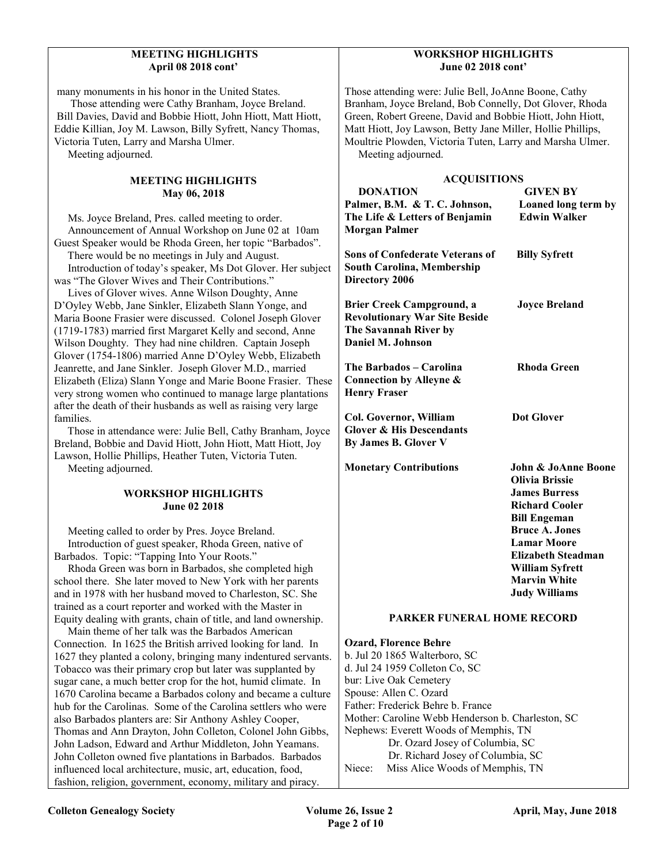#### MEETING HIGHLIGHTS April 08 2018 cont'

many monuments in his honor in the United States.

 Those attending were Cathy Branham, Joyce Breland. Bill Davies, David and Bobbie Hiott, John Hiott, Matt Hiott, Eddie Killian, Joy M. Lawson, Billy Syfrett, Nancy Thomas, Victoria Tuten, Larry and Marsha Ulmer.

Meeting adjourned.

#### MEETING HIGHLIGHTS May 06, 2018

 Ms. Joyce Breland, Pres. called meeting to order. Announcement of Annual Workshop on June 02 at 10am Guest Speaker would be Rhoda Green, her topic "Barbados".

 There would be no meetings in July and August. Introduction of today's speaker, Ms Dot Glover. Her subject

was "The Glover Wives and Their Contributions."

 Lives of Glover wives. Anne Wilson Doughty, Anne D'Oyley Webb, Jane Sinkler, Elizabeth Slann Yonge, and Maria Boone Frasier were discussed. Colonel Joseph Glover (1719-1783) married first Margaret Kelly and second, Anne Wilson Doughty. They had nine children. Captain Joseph Glover (1754-1806) married Anne D'Oyley Webb, Elizabeth Jeanrette, and Jane Sinkler. Joseph Glover M.D., married Elizabeth (Eliza) Slann Yonge and Marie Boone Frasier. These very strong women who continued to manage large plantations after the death of their husbands as well as raising very large families.

 Those in attendance were: Julie Bell, Cathy Branham, Joyce Breland, Bobbie and David Hiott, John Hiott, Matt Hiott, Joy Lawson, Hollie Phillips, Heather Tuten, Victoria Tuten. Meeting adjourned.

#### WORKSHOP HIGHLIGHTS June 02 2018

 Meeting called to order by Pres. Joyce Breland. Introduction of guest speaker, Rhoda Green, native of Barbados. Topic: "Tapping Into Your Roots."

 Rhoda Green was born in Barbados, she completed high school there. She later moved to New York with her parents and in 1978 with her husband moved to Charleston, SC. She trained as a court reporter and worked with the Master in Equity dealing with grants, chain of title, and land ownership.

 Main theme of her talk was the Barbados American Connection. In 1625 the British arrived looking for land. In 1627 they planted a colony, bringing many indentured servants. Tobacco was their primary crop but later was supplanted by sugar cane, a much better crop for the hot, humid climate. In 1670 Carolina became a Barbados colony and became a culture hub for the Carolinas. Some of the Carolina settlers who were also Barbados planters are: Sir Anthony Ashley Cooper, Thomas and Ann Drayton, John Colleton, Colonel John Gibbs, John Ladson, Edward and Arthur Middleton, John Yeamans. John Colleton owned five plantations in Barbados. Barbados influenced local architecture, music, art, education, food, fashion, religion, government, economy, military and piracy.

#### WORKSHOP HIGHLIGHTS June 02 2018 cont'

Those attending were: Julie Bell, JoAnne Boone, Cathy Branham, Joyce Breland, Bob Connelly, Dot Glover, Rhoda Green, Robert Greene, David and Bobbie Hiott, John Hiott, Matt Hiott, Joy Lawson, Betty Jane Miller, Hollie Phillips, Moultrie Plowden, Victoria Tuten, Larry and Marsha Ulmer. Meeting adjourned.

| <b>ACQUISITIONS</b>                                                                                                    |                                                                                                                                                                                                                                                                               |  |
|------------------------------------------------------------------------------------------------------------------------|-------------------------------------------------------------------------------------------------------------------------------------------------------------------------------------------------------------------------------------------------------------------------------|--|
| <b>DONATION</b>                                                                                                        | <b>GIVEN BY</b>                                                                                                                                                                                                                                                               |  |
| Palmer, B.M. & T.C. Johnson,<br>The Life & Letters of Benjamin<br><b>Morgan Palmer</b>                                 | Loaned long term by<br><b>Edwin Walker</b>                                                                                                                                                                                                                                    |  |
| <b>Sons of Confederate Veterans of</b><br><b>South Carolina, Membership</b><br><b>Directory 2006</b>                   | <b>Billy Syfrett</b>                                                                                                                                                                                                                                                          |  |
| <b>Brier Creek Campground, a</b><br><b>Revolutionary War Site Beside</b><br>The Savannah River by<br>Daniel M. Johnson | <b>Joyce Breland</b>                                                                                                                                                                                                                                                          |  |
| The Barbados - Carolina<br>Connection by Alleyne &<br><b>Henry Fraser</b>                                              | <b>Rhoda Green</b>                                                                                                                                                                                                                                                            |  |
| Col. Governor, William<br><b>Glover &amp; His Descendants</b><br><b>By James B. Glover V</b>                           | <b>Dot Glover</b>                                                                                                                                                                                                                                                             |  |
| <b>Monetary Contributions</b>                                                                                          | <b>John &amp; JoAnne Boone</b><br><b>Olivia Brissie</b><br><b>James Burress</b><br><b>Richard Cooler</b><br><b>Bill Engeman</b><br><b>Bruce A. Jones</b><br><b>Lamar Moore</b><br><b>Elizabeth Steadman</b><br>William Syfrett<br><b>Marvin White</b><br><b>Judy Williams</b> |  |
| <b>PARKER FUNERAL HOME RECORD</b>                                                                                      |                                                                                                                                                                                                                                                                               |  |

Ozard, Florence Behre b. Jul 20 1865 Walterboro, SC d. Jul 24 1959 Colleton Co, SC bur: Live Oak Cemetery Spouse: Allen C. Ozard Father: Frederick Behre b. France Mother: Caroline Webb Henderson b. Charleston, SC Nephews: Everett Woods of Memphis, TN Dr. Ozard Josey of Columbia, SC Dr. Richard Josey of Columbia, SC Niece: Miss Alice Woods of Memphis, TN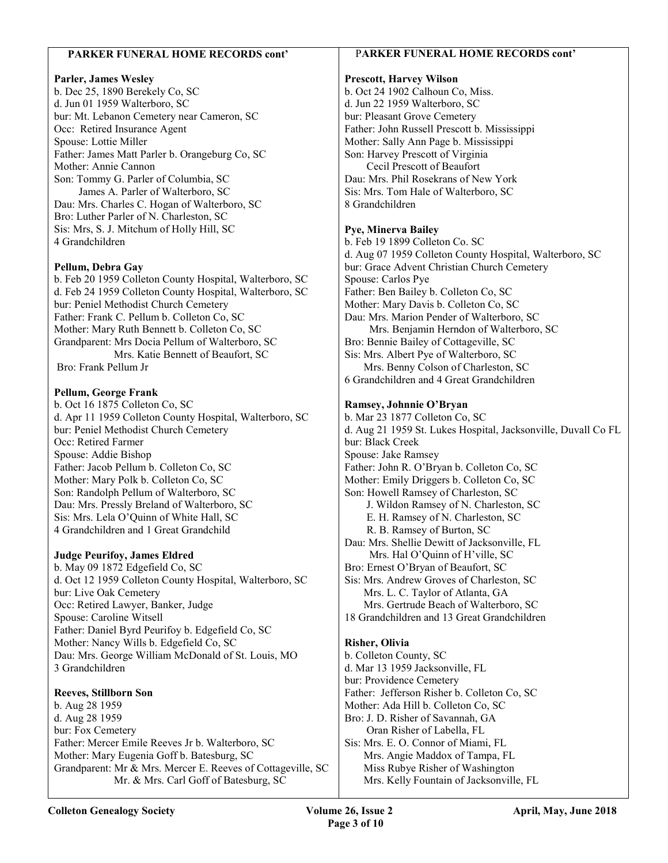#### PARKER FUNERAL HOME RECORDS cont'

### Parler, James Wesley

b. Dec 25, 1890 Berekely Co, SC d. Jun 01 1959 Walterboro, SC bur: Mt. Lebanon Cemetery near Cameron, SC Occ: Retired Insurance Agent Spouse: Lottie Miller Father: James Matt Parler b. Orangeburg Co, SC Mother: Annie Cannon Son: Tommy G. Parler of Columbia, SC James A. Parler of Walterboro, SC Dau: Mrs. Charles C. Hogan of Walterboro, SC Bro: Luther Parler of N. Charleston, SC Sis: Mrs, S. J. Mitchum of Holly Hill, SC 4 Grandchildren

### Pellum, Debra Gay

b. Feb 20 1959 Colleton County Hospital, Walterboro, SC d. Feb 24 1959 Colleton County Hospital, Walterboro, SC bur: Peniel Methodist Church Cemetery Father: Frank C. Pellum b. Colleton Co, SC Mother: Mary Ruth Bennett b. Colleton Co, SC Grandparent: Mrs Docia Pellum of Walterboro, SC Mrs. Katie Bennett of Beaufort, SC Bro: Frank Pellum Jr

#### Pellum, George Frank

b. Oct 16 1875 Colleton Co, SC d. Apr 11 1959 Colleton County Hospital, Walterboro, SC bur: Peniel Methodist Church Cemetery Occ: Retired Farmer Spouse: Addie Bishop Father: Jacob Pellum b. Colleton Co, SC Mother: Mary Polk b. Colleton Co, SC Son: Randolph Pellum of Walterboro, SC Dau: Mrs. Pressly Breland of Walterboro, SC Sis: Mrs. Lela O'Quinn of White Hall, SC 4 Grandchildren and 1 Great Grandchild

### Judge Peurifoy, James Eldred

b. May 09 1872 Edgefield Co, SC d. Oct 12 1959 Colleton County Hospital, Walterboro, SC bur: Live Oak Cemetery Occ: Retired Lawyer, Banker, Judge Spouse: Caroline Witsell Father: Daniel Byrd Peurifoy b. Edgefield Co, SC Mother: Nancy Wills b. Edgefield Co, SC Dau: Mrs. George William McDonald of St. Louis, MO 3 Grandchildren

### Reeves, Stillborn Son

b. Aug 28 1959 d. Aug 28 1959 bur: Fox Cemetery Father: Mercer Emile Reeves Jr b. Walterboro, SC Mother: Mary Eugenia Goff b. Batesburg, SC Grandparent: Mr & Mrs. Mercer E. Reeves of Cottageville, SC Mr. & Mrs. Carl Goff of Batesburg, SC

## PARKER FUNERAL HOME RECORDS cont'

#### Prescott, Harvey Wilson

b. Oct 24 1902 Calhoun Co, Miss. d. Jun 22 1959 Walterboro, SC bur: Pleasant Grove Cemetery Father: John Russell Prescott b. Mississippi Mother: Sally Ann Page b. Mississippi Son: Harvey Prescott of Virginia Cecil Prescott of Beaufort Dau: Mrs. Phil Rosekrans of New York Sis: Mrs. Tom Hale of Walterboro, SC 8 Grandchildren

#### Pye, Minerva Bailey

b. Feb 19 1899 Colleton Co. SC d. Aug 07 1959 Colleton County Hospital, Walterboro, SC bur: Grace Advent Christian Church Cemetery Spouse: Carlos Pye Father: Ben Bailey b. Colleton Co, SC Mother: Mary Davis b. Colleton Co, SC Dau: Mrs. Marion Pender of Walterboro, SC Mrs. Benjamin Herndon of Walterboro, SC Bro: Bennie Bailey of Cottageville, SC Sis: Mrs. Albert Pye of Walterboro, SC Mrs. Benny Colson of Charleston, SC 6 Grandchildren and 4 Great Grandchildren

#### Ramsey, Johnnie O'Bryan

b. Mar 23 1877 Colleton Co, SC d. Aug 21 1959 St. Lukes Hospital, Jacksonville, Duvall Co FL bur: Black Creek Spouse: Jake Ramsey Father: John R. O'Bryan b. Colleton Co, SC Mother: Emily Driggers b. Colleton Co, SC Son: Howell Ramsey of Charleston, SC J. Wildon Ramsey of N. Charleston, SC E. H. Ramsey of N. Charleston, SC R. B. Ramsey of Burton, SC Dau: Mrs. Shellie Dewitt of Jacksonville, FL Mrs. Hal O'Quinn of H'ville, SC Bro: Ernest O'Bryan of Beaufort, SC Sis: Mrs. Andrew Groves of Charleston, SC Mrs. L. C. Taylor of Atlanta, GA Mrs. Gertrude Beach of Walterboro, SC 18 Grandchildren and 13 Great Grandchildren Risher, Olivia

b. Colleton County, SC d. Mar 13 1959 Jacksonville, FL bur: Providence Cemetery Father: Jefferson Risher b. Colleton Co, SC Mother: Ada Hill b. Colleton Co, SC Bro: J. D. Risher of Savannah, GA Oran Risher of Labella, FL Sis: Mrs. E. O. Connor of Miami, FL Mrs. Angie Maddox of Tampa, FL Miss Rubye Risher of Washington Mrs. Kelly Fountain of Jacksonville, FL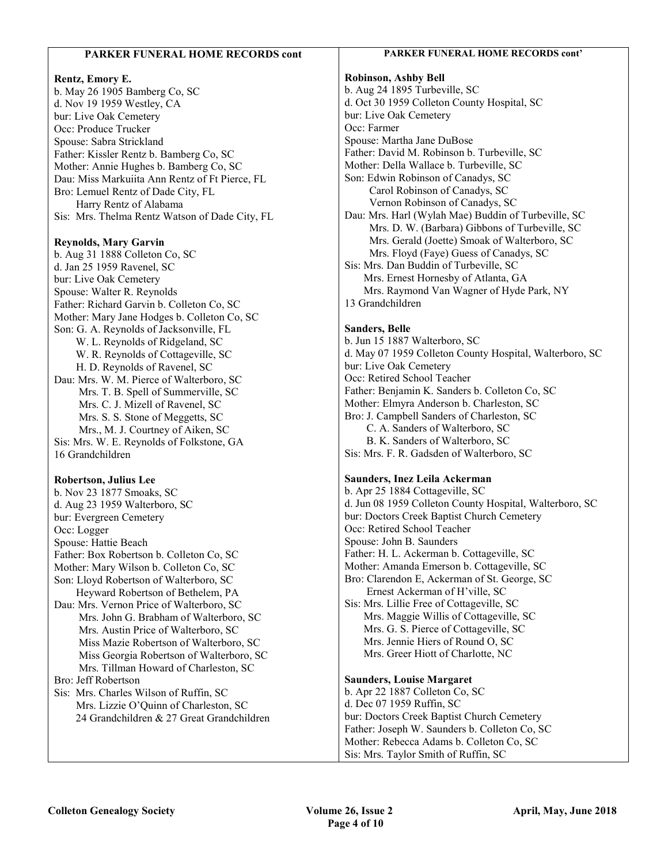| <b>PARKER FUNERAL HOME RECORDS cont</b>        | PARKER FUNERAL HOME RECORDS cont'                                             |
|------------------------------------------------|-------------------------------------------------------------------------------|
| Rentz, Emory E.                                | <b>Robinson, Ashby Bell</b>                                                   |
| b. May 26 1905 Bamberg Co, SC                  | b. Aug 24 1895 Turbeville, SC                                                 |
| d. Nov 19 1959 Westley, CA                     | d. Oct 30 1959 Colleton County Hospital, SC                                   |
| bur: Live Oak Cemetery                         | bur: Live Oak Cemetery                                                        |
| Occ: Produce Trucker                           | Occ: Farmer                                                                   |
| Spouse: Sabra Strickland                       | Spouse: Martha Jane DuBose                                                    |
| Father: Kissler Rentz b. Bamberg Co, SC        | Father: David M. Robinson b. Turbeville, SC                                   |
| Mother: Annie Hughes b. Bamberg Co, SC         | Mother: Della Wallace b. Turbeville, SC                                       |
| Dau: Miss Markuiita Ann Rentz of Ft Pierce, FL | Son: Edwin Robinson of Canadys, SC                                            |
| Bro: Lemuel Rentz of Dade City, FL             | Carol Robinson of Canadys, SC                                                 |
| Harry Rentz of Alabama                         | Vernon Robinson of Canadys, SC                                                |
| Sis: Mrs. Thelma Rentz Watson of Dade City, FL | Dau: Mrs. Harl (Wylah Mae) Buddin of Turbeville, SC                           |
|                                                | Mrs. D. W. (Barbara) Gibbons of Turbeville, SC                                |
| <b>Reynolds, Mary Garvin</b>                   | Mrs. Gerald (Joette) Smoak of Walterboro, SC                                  |
| b. Aug 31 1888 Colleton Co, SC                 | Mrs. Floyd (Faye) Guess of Canadys, SC                                        |
| d. Jan 25 1959 Ravenel, SC                     | Sis: Mrs. Dan Buddin of Turbeville, SC                                        |
| bur: Live Oak Cemetery                         | Mrs. Ernest Hornesby of Atlanta, GA                                           |
| Spouse: Walter R. Reynolds                     | Mrs. Raymond Van Wagner of Hyde Park, NY                                      |
| Father: Richard Garvin b. Colleton Co, SC      | 13 Grandchildren                                                              |
|                                                |                                                                               |
| Mother: Mary Jane Hodges b. Colleton Co, SC    | <b>Sanders, Belle</b>                                                         |
| Son: G. A. Reynolds of Jacksonville, FL        | b. Jun 15 1887 Walterboro, SC                                                 |
| W. L. Reynolds of Ridgeland, SC                | d. May 07 1959 Colleton County Hospital, Walterboro, SC                       |
| W. R. Reynolds of Cottageville, SC             | bur: Live Oak Cemetery                                                        |
| H. D. Reynolds of Ravenel, SC                  | Occ: Retired School Teacher                                                   |
| Dau: Mrs. W. M. Pierce of Walterboro, SC       |                                                                               |
| Mrs. T. B. Spell of Summerville, SC            | Father: Benjamin K. Sanders b. Colleton Co, SC                                |
| Mrs. C. J. Mizell of Ravenel, SC               | Mother: Elmyra Anderson b. Charleston, SC                                     |
| Mrs. S. S. Stone of Meggetts, SC               | Bro: J. Campbell Sanders of Charleston, SC<br>C. A. Sanders of Walterboro, SC |
| Mrs., M. J. Courtney of Aiken, SC              | B. K. Sanders of Walterboro, SC                                               |
| Sis: Mrs. W. E. Reynolds of Folkstone, GA      |                                                                               |
| 16 Grandchildren                               | Sis: Mrs. F. R. Gadsden of Walterboro, SC                                     |
| <b>Robertson, Julius Lee</b>                   | Saunders, Inez Leila Ackerman                                                 |
| b. Nov 23 1877 Smoaks, SC                      | b. Apr 25 1884 Cottageville, SC                                               |
| d. Aug 23 1959 Walterboro, SC                  | d. Jun 08 1959 Colleton County Hospital, Walterboro, SC                       |
| bur: Evergreen Cemetery                        | bur: Doctors Creek Baptist Church Cemetery                                    |
| Occ: Logger                                    | Occ: Retired School Teacher                                                   |
| Spouse: Hattie Beach                           | Spouse: John B. Saunders                                                      |
| Father: Box Robertson b. Colleton Co, SC       | Father: H. L. Ackerman b. Cottageville, SC                                    |
| Mother: Mary Wilson b. Colleton Co, SC         | Mother: Amanda Emerson b. Cottageville, SC                                    |
| Son: Lloyd Robertson of Walterboro, SC         | Bro: Clarendon E, Ackerman of St. George, SC                                  |
| Heyward Robertson of Bethelem, PA              | Ernest Ackerman of H'ville, SC                                                |
| Dau: Mrs. Vernon Price of Walterboro, SC       | Sis: Mrs. Lillie Free of Cottageville, SC                                     |
| Mrs. John G. Brabham of Walterboro, SC         | Mrs. Maggie Willis of Cottageville, SC                                        |
| Mrs. Austin Price of Walterboro, SC            | Mrs. G. S. Pierce of Cottageville, SC                                         |
| Miss Mazie Robertson of Walterboro, SC         | Mrs. Jennie Hiers of Round O, SC                                              |
| Miss Georgia Robertson of Walterboro, SC       | Mrs. Greer Hiott of Charlotte, NC                                             |
| Mrs. Tillman Howard of Charleston, SC          |                                                                               |
| Bro: Jeff Robertson                            | <b>Saunders, Louise Margaret</b>                                              |
| Sis: Mrs. Charles Wilson of Ruffin, SC         | b. Apr 22 1887 Colleton Co, SC                                                |
| Mrs. Lizzie O'Quinn of Charleston, SC          | d. Dec 07 1959 Ruffin, SC                                                     |
| 24 Grandchildren & 27 Great Grandchildren      | bur: Doctors Creek Baptist Church Cemetery                                    |
|                                                | Father: Joseph W. Saunders b. Colleton Co, SC                                 |
|                                                | Mother: Rebecca Adams b. Colleton Co, SC                                      |
|                                                | Sis: Mrs. Taylor Smith of Ruffin, SC                                          |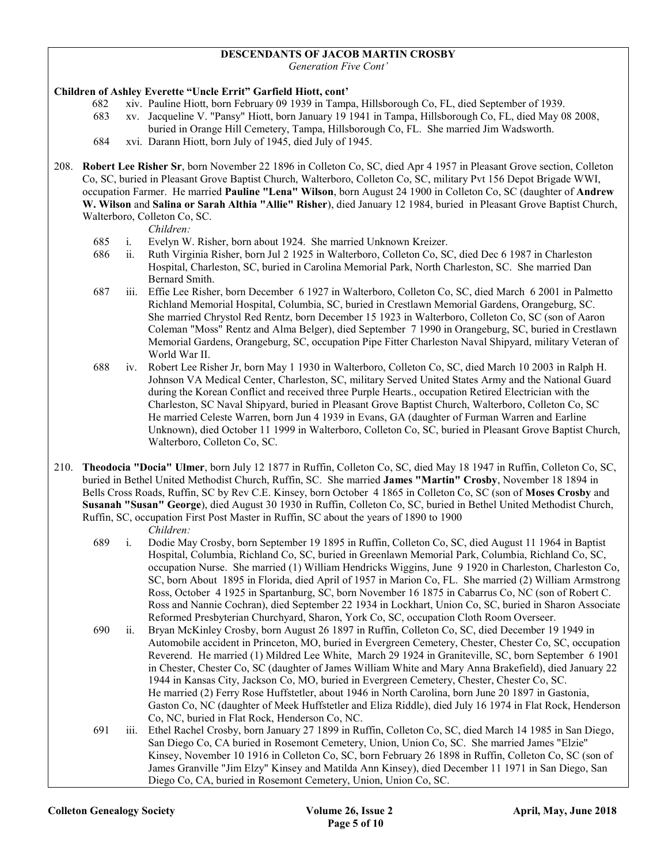#### DESCENDANTS OF JACOB MARTIN CROSBY

Generation Five Cont'

#### Children of Ashley Everette "Uncle Errit" Garfield Hiott, cont'

- 682 xiv. Pauline Hiott, born February 09 1939 in Tampa, Hillsborough Co, FL, died September of 1939.
- 683 xv. Jacqueline V. "Pansy" Hiott, born January 19 1941 in Tampa, Hillsborough Co, FL, died May 08 2008, buried in Orange Hill Cemetery, Tampa, Hillsborough Co, FL. She married Jim Wadsworth.
- 684 xvi. Darann Hiott, born July of 1945, died July of 1945.
- 208. Robert Lee Risher Sr, born November 22 1896 in Colleton Co, SC, died Apr 4 1957 in Pleasant Grove section, Colleton Co, SC, buried in Pleasant Grove Baptist Church, Walterboro, Colleton Co, SC, military Pvt 156 Depot Brigade WWI, occupation Farmer. He married Pauline "Lena" Wilson, born August 24 1900 in Colleton Co, SC (daughter of Andrew W. Wilson and Salina or Sarah Althia "Allie" Risher), died January 12 1984, buried in Pleasant Grove Baptist Church, Walterboro, Colleton Co, SC.

Children:

- 685 i. Evelyn W. Risher, born about 1924. She married Unknown Kreizer.
- 686 ii. Ruth Virginia Risher, born Jul 2 1925 in Walterboro, Colleton Co, SC, died Dec 6 1987 in Charleston Hospital, Charleston, SC, buried in Carolina Memorial Park, North Charleston, SC. She married Dan Bernard Smith.
- 687 iii. Effie Lee Risher, born December 6 1927 in Walterboro, Colleton Co, SC, died March 6 2001 in Palmetto Richland Memorial Hospital, Columbia, SC, buried in Crestlawn Memorial Gardens, Orangeburg, SC. She married Chrystol Red Rentz, born December 15 1923 in Walterboro, Colleton Co, SC (son of Aaron Coleman "Moss" Rentz and Alma Belger), died September 7 1990 in Orangeburg, SC, buried in Crestlawn Memorial Gardens, Orangeburg, SC, occupation Pipe Fitter Charleston Naval Shipyard, military Veteran of World War II.
- 688 iv. Robert Lee Risher Jr, born May 1 1930 in Walterboro, Colleton Co, SC, died March 10 2003 in Ralph H. Johnson VA Medical Center, Charleston, SC, military Served United States Army and the National Guard during the Korean Conflict and received three Purple Hearts., occupation Retired Electrician with the Charleston, SC Naval Shipyard, buried in Pleasant Grove Baptist Church, Walterboro, Colleton Co, SC He married Celeste Warren, born Jun 4 1939 in Evans, GA (daughter of Furman Warren and Earline Unknown), died October 11 1999 in Walterboro, Colleton Co, SC, buried in Pleasant Grove Baptist Church, Walterboro, Colleton Co, SC.
- 210. Theodocia "Docia" Ulmer, born July 12 1877 in Ruffin, Colleton Co, SC, died May 18 1947 in Ruffin, Colleton Co, SC, buried in Bethel United Methodist Church, Ruffin, SC. She married James "Martin" Crosby, November 18 1894 in Bells Cross Roads, Ruffin, SC by Rev C.E. Kinsey, born October 4 1865 in Colleton Co, SC (son of Moses Crosby and Susanah "Susan" George), died August 30 1930 in Ruffin, Colleton Co, SC, buried in Bethel United Methodist Church, Ruffin, SC, occupation First Post Master in Ruffin, SC about the years of 1890 to 1900 Children:
	- 689 i. Dodie May Crosby, born September 19 1895 in Ruffin, Colleton Co, SC, died August 11 1964 in Baptist Hospital, Columbia, Richland Co, SC, buried in Greenlawn Memorial Park, Columbia, Richland Co, SC, occupation Nurse. She married (1) William Hendricks Wiggins, June 9 1920 in Charleston, Charleston Co, SC, born About 1895 in Florida, died April of 1957 in Marion Co, FL. She married (2) William Armstrong Ross, October 4 1925 in Spartanburg, SC, born November 16 1875 in Cabarrus Co, NC (son of Robert C. Ross and Nannie Cochran), died September 22 1934 in Lockhart, Union Co, SC, buried in Sharon Associate Reformed Presbyterian Churchyard, Sharon, York Co, SC, occupation Cloth Room Overseer.
	- 690 ii. Bryan McKinley Crosby, born August 26 1897 in Ruffin, Colleton Co, SC, died December 19 1949 in Automobile accident in Princeton, MO, buried in Evergreen Cemetery, Chester, Chester Co, SC, occupation Reverend. He married (1) Mildred Lee White, March 29 1924 in Graniteville, SC, born September 6 1901 in Chester, Chester Co, SC (daughter of James William White and Mary Anna Brakefield), died January 22 1944 in Kansas City, Jackson Co, MO, buried in Evergreen Cemetery, Chester, Chester Co, SC. He married (2) Ferry Rose Huffstetler, about 1946 in North Carolina, born June 20 1897 in Gastonia, Gaston Co, NC (daughter of Meek Huffstetler and Eliza Riddle), died July 16 1974 in Flat Rock, Henderson Co, NC, buried in Flat Rock, Henderson Co, NC.
	- 691 iii. Ethel Rachel Crosby, born January 27 1899 in Ruffin, Colleton Co, SC, died March 14 1985 in San Diego, San Diego Co, CA buried in Rosemont Cemetery, Union, Union Co, SC. She married James "Elzie" Kinsey, November 10 1916 in Colleton Co, SC, born February 26 1898 in Ruffin, Colleton Co, SC (son of James Granville "Jim Elzy" Kinsey and Matilda Ann Kinsey), died December 11 1971 in San Diego, San Diego Co, CA, buried in Rosemont Cemetery, Union, Union Co, SC.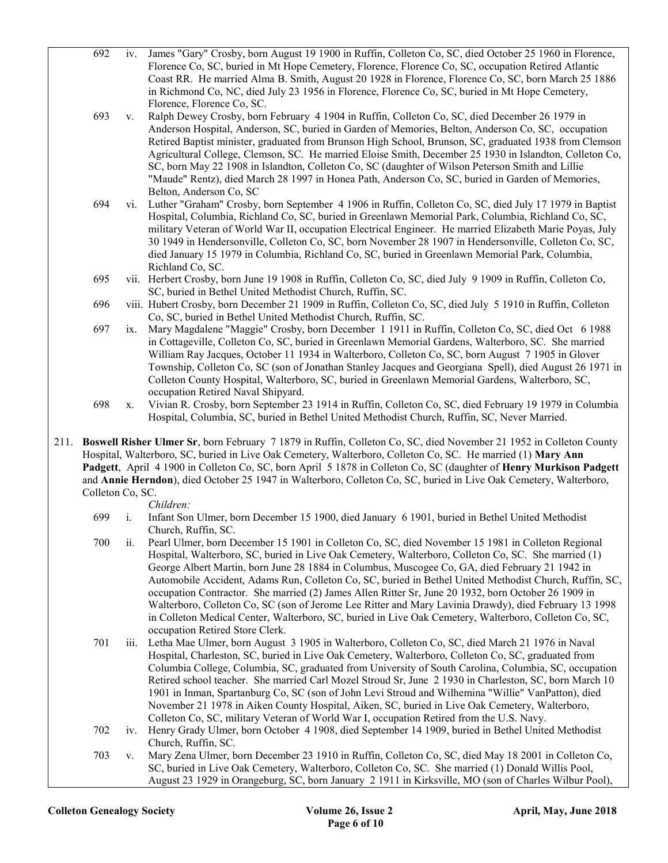|      | 692              |                           | iv. James "Gary" Crosby, born August 19 1900 in Ruffin, Colleton Co, SC, died October 25 1960 in Florence,<br>Florence Co, SC, buried in Mt Hope Cemetery, Florence, Florence Co, SC, occupation Retired Atlantic<br>Coast RR. He married Alma B. Smith, August 20 1928 in Florence, Florence Co, SC, born March 25 1886<br>in Richmond Co, NC, died July 23 1956 in Florence, Florence Co, SC, buried in Mt Hope Cemetery,                                                                                                                                                                                                                                                                                                                                          |
|------|------------------|---------------------------|----------------------------------------------------------------------------------------------------------------------------------------------------------------------------------------------------------------------------------------------------------------------------------------------------------------------------------------------------------------------------------------------------------------------------------------------------------------------------------------------------------------------------------------------------------------------------------------------------------------------------------------------------------------------------------------------------------------------------------------------------------------------|
|      | 693              | V.                        | Florence, Florence Co, SC.<br>Ralph Dewey Crosby, born February 4 1904 in Ruffin, Colleton Co, SC, died December 26 1979 in<br>Anderson Hospital, Anderson, SC, buried in Garden of Memories, Belton, Anderson Co, SC, occupation<br>Retired Baptist minister, graduated from Brunson High School, Brunson, SC, graduated 1938 from Clemson<br>Agricultural College, Clemson, SC. He married Eloise Smith, December 25 1930 in Islandton, Colleton Co,<br>SC, born May 22 1908 in Islandton, Colleton Co, SC (daughter of Wilson Peterson Smith and Lillie<br>"Maude" Rentz), died March 28 1997 in Honea Path, Anderson Co, SC, buried in Garden of Memories,                                                                                                       |
|      | 694              | vi.                       | Belton, Anderson Co, SC<br>Luther "Graham" Crosby, born September 4 1906 in Ruffin, Colleton Co, SC, died July 17 1979 in Baptist<br>Hospital, Columbia, Richland Co, SC, buried in Greenlawn Memorial Park, Columbia, Richland Co, SC,<br>military Veteran of World War II, occupation Electrical Engineer. He married Elizabeth Marie Poyas, July<br>30 1949 in Hendersonville, Colleton Co, SC, born November 28 1907 in Hendersonville, Colleton Co, SC,<br>died January 15 1979 in Columbia, Richland Co, SC, buried in Greenlawn Memorial Park, Columbia,<br>Richland Co, SC.                                                                                                                                                                                  |
|      | 695              |                           | vii. Herbert Crosby, born June 19 1908 in Ruffin, Colleton Co, SC, died July 9 1909 in Ruffin, Colleton Co,<br>SC, buried in Bethel United Methodist Church, Ruffin, SC.                                                                                                                                                                                                                                                                                                                                                                                                                                                                                                                                                                                             |
|      | 696              |                           | viii. Hubert Crosby, born December 21 1909 in Ruffin, Colleton Co, SC, died July 5 1910 in Ruffin, Colleton<br>Co, SC, buried in Bethel United Methodist Church, Ruffin, SC.                                                                                                                                                                                                                                                                                                                                                                                                                                                                                                                                                                                         |
|      | 697              | $\mathbf{1} \mathbf{X}$ . | Mary Magdalene "Maggie" Crosby, born December 1 1911 in Ruffin, Colleton Co, SC, died Oct 6 1988<br>in Cottageville, Colleton Co, SC, buried in Greenlawn Memorial Gardens, Walterboro, SC. She married<br>William Ray Jacques, October 11 1934 in Walterboro, Colleton Co, SC, born August 7 1905 in Glover<br>Township, Colleton Co, SC (son of Jonathan Stanley Jacques and Georgiana Spell), died August 26 1971 in<br>Colleton County Hospital, Walterboro, SC, buried in Greenlawn Memorial Gardens, Walterboro, SC,<br>occupation Retired Naval Shipyard.                                                                                                                                                                                                     |
|      | 698              | X.                        | Vivian R. Crosby, born September 23 1914 in Ruffin, Colleton Co, SC, died February 19 1979 in Columbia<br>Hospital, Columbia, SC, buried in Bethel United Methodist Church, Ruffin, SC, Never Married.                                                                                                                                                                                                                                                                                                                                                                                                                                                                                                                                                               |
| 211. | Colleton Co, SC. |                           | Boswell Risher Ulmer Sr, born February 7 1879 in Ruffin, Colleton Co, SC, died November 21 1952 in Colleton County<br>Hospital, Walterboro, SC, buried in Live Oak Cemetery, Walterboro, Colleton Co, SC. He married (1) Mary Ann<br>Padgett, April 4 1900 in Colleton Co, SC, born April 5 1878 in Colleton Co, SC (daughter of Henry Murkison Padgett<br>and Annie Herndon), died October 25 1947 in Walterboro, Colleton Co, SC, buried in Live Oak Cemetery, Walterboro,<br>Children:                                                                                                                                                                                                                                                                            |
|      | 699              | i.                        | Infant Son Ulmer, born December 15 1900, died January 6 1901, buried in Bethel United Methodist                                                                                                                                                                                                                                                                                                                                                                                                                                                                                                                                                                                                                                                                      |
|      | 700              | 11.                       | Church, Ruffin, SC.<br>Pearl Ulmer, born December 15 1901 in Colleton Co, SC, died November 15 1981 in Colleton Regional<br>Hospital, Walterboro, SC, buried in Live Oak Cemetery, Walterboro, Colleton Co, SC. She married (1)<br>George Albert Martin, born June 28 1884 in Columbus, Muscogee Co, GA, died February 21 1942 in<br>Automobile Accident, Adams Run, Colleton Co, SC, buried in Bethel United Methodist Church, Ruffin, SC,<br>occupation Contractor. She married (2) James Allen Ritter Sr, June 20 1932, born October 26 1909 in<br>Walterboro, Colleton Co, SC (son of Jerome Lee Ritter and Mary Lavinia Drawdy), died February 13 1998<br>in Colleton Medical Center, Walterboro, SC, buried in Live Oak Cemetery, Walterboro, Colleton Co, SC, |
|      | 701              | iii.                      | occupation Retired Store Clerk.<br>Letha Mae Ulmer, born August 3 1905 in Walterboro, Colleton Co, SC, died March 21 1976 in Naval<br>Hospital, Charleston, SC, buried in Live Oak Cemetery, Walterboro, Colleton Co, SC, graduated from<br>Columbia College, Columbia, SC, graduated from University of South Carolina, Columbia, SC, occupation<br>Retired school teacher. She married Carl Mozel Stroud Sr, June 2 1930 in Charleston, SC, born March 10<br>1901 in Inman, Spartanburg Co, SC (son of John Levi Stroud and Wilhemina "Willie" VanPatton), died<br>November 21 1978 in Aiken County Hospital, Aiken, SC, buried in Live Oak Cemetery, Walterboro,<br>Colleton Co, SC, military Veteran of World War I, occupation Retired from the U.S. Navy.      |
|      | 702              | iv.                       | Henry Grady Ulmer, born October 4 1908, died September 14 1909, buried in Bethel United Methodist<br>Church, Ruffin, SC.                                                                                                                                                                                                                                                                                                                                                                                                                                                                                                                                                                                                                                             |
|      | 703              | V.                        | Mary Zena Ulmer, born December 23 1910 in Ruffin, Colleton Co, SC, died May 18 2001 in Colleton Co,<br>SC, buried in Live Oak Cemetery, Walterboro, Colleton Co, SC. She married (1) Donald Willis Pool,                                                                                                                                                                                                                                                                                                                                                                                                                                                                                                                                                             |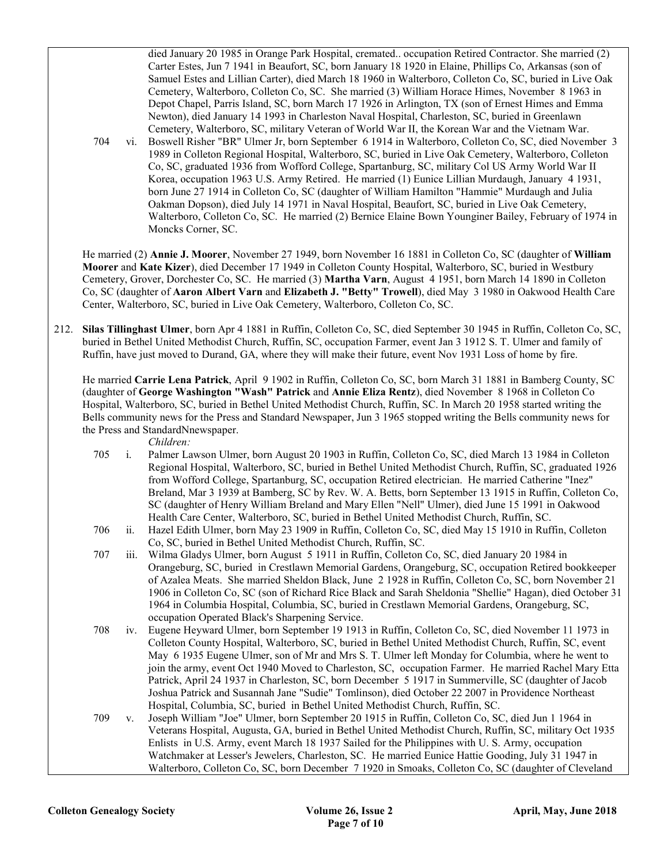died January 20 1985 in Orange Park Hospital, cremated.. occupation Retired Contractor. She married (2) Carter Estes, Jun 7 1941 in Beaufort, SC, born January 18 1920 in Elaine, Phillips Co, Arkansas (son of Samuel Estes and Lillian Carter), died March 18 1960 in Walterboro, Colleton Co, SC, buried in Live Oak Cemetery, Walterboro, Colleton Co, SC. She married (3) William Horace Himes, November 8 1963 in Depot Chapel, Parris Island, SC, born March 17 1926 in Arlington, TX (son of Ernest Himes and Emma Newton), died January 14 1993 in Charleston Naval Hospital, Charleston, SC, buried in Greenlawn Cemetery, Walterboro, SC, military Veteran of World War II, the Korean War and the Vietnam War.

 704 vi. Boswell Risher "BR" Ulmer Jr, born September 6 1914 in Walterboro, Colleton Co, SC, died November 3 1989 in Colleton Regional Hospital, Walterboro, SC, buried in Live Oak Cemetery, Walterboro, Colleton Co, SC, graduated 1936 from Wofford College, Spartanburg, SC, military Col US Army World War II Korea, occupation 1963 U.S. Army Retired. He married (1) Eunice Lillian Murdaugh, January 4 1931, born June 27 1914 in Colleton Co, SC (daughter of William Hamilton "Hammie" Murdaugh and Julia Oakman Dopson), died July 14 1971 in Naval Hospital, Beaufort, SC, buried in Live Oak Cemetery, Walterboro, Colleton Co, SC. He married (2) Bernice Elaine Bown Younginer Bailey, February of 1974 in Moncks Corner, SC.

He married (2) Annie J. Moorer, November 27 1949, born November 16 1881 in Colleton Co, SC (daughter of William Moorer and Kate Kizer), died December 17 1949 in Colleton County Hospital, Walterboro, SC, buried in Westbury Cemetery, Grover, Dorchester Co, SC. He married (3) Martha Varn, August 4 1951, born March 14 1890 in Colleton Co, SC (daughter of Aaron Albert Varn and Elizabeth J. "Betty" Trowell), died May 3 1980 in Oakwood Health Care Center, Walterboro, SC, buried in Live Oak Cemetery, Walterboro, Colleton Co, SC.

212. Silas Tillinghast Ulmer, born Apr 4 1881 in Ruffin, Colleton Co, SC, died September 30 1945 in Ruffin, Colleton Co, SC, buried in Bethel United Methodist Church, Ruffin, SC, occupation Farmer, event Jan 3 1912 S. T. Ulmer and family of Ruffin, have just moved to Durand, GA, where they will make their future, event Nov 1931 Loss of home by fire.

 He married Carrie Lena Patrick, April 9 1902 in Ruffin, Colleton Co, SC, born March 31 1881 in Bamberg County, SC (daughter of George Washington "Wash" Patrick and Annie Eliza Rentz), died November 8 1968 in Colleton Co Hospital, Walterboro, SC, buried in Bethel United Methodist Church, Ruffin, SC. In March 20 1958 started writing the Bells community news for the Press and Standard Newspaper, Jun 3 1965 stopped writing the Bells community news for the Press and StandardNnewspaper.

Children:

- 705 i. Palmer Lawson Ulmer, born August 20 1903 in Ruffin, Colleton Co, SC, died March 13 1984 in Colleton Regional Hospital, Walterboro, SC, buried in Bethel United Methodist Church, Ruffin, SC, graduated 1926 from Wofford College, Spartanburg, SC, occupation Retired electrician. He married Catherine "Inez" Breland, Mar 3 1939 at Bamberg, SC by Rev. W. A. Betts, born September 13 1915 in Ruffin, Colleton Co, SC (daughter of Henry William Breland and Mary Ellen "Nell" Ulmer), died June 15 1991 in Oakwood Health Care Center, Walterboro, SC, buried in Bethel United Methodist Church, Ruffin, SC.
- 706 ii. Hazel Edith Ulmer, born May 23 1909 in Ruffin, Colleton Co, SC, died May 15 1910 in Ruffin, Colleton Co, SC, buried in Bethel United Methodist Church, Ruffin, SC.
- 707 iii. Wilma Gladys Ulmer, born August 5 1911 in Ruffin, Colleton Co, SC, died January 20 1984 in Orangeburg, SC, buried in Crestlawn Memorial Gardens, Orangeburg, SC, occupation Retired bookkeeper of Azalea Meats. She married Sheldon Black, June 2 1928 in Ruffin, Colleton Co, SC, born November 21 1906 in Colleton Co, SC (son of Richard Rice Black and Sarah Sheldonia "Shellie" Hagan), died October 31 1964 in Columbia Hospital, Columbia, SC, buried in Crestlawn Memorial Gardens, Orangeburg, SC, occupation Operated Black's Sharpening Service.
- 708 iv. Eugene Heyward Ulmer, born September 19 1913 in Ruffin, Colleton Co, SC, died November 11 1973 in Colleton County Hospital, Walterboro, SC, buried in Bethel United Methodist Church, Ruffin, SC, event May 6 1935 Eugene Ulmer, son of Mr and Mrs S. T. Ulmer left Monday for Columbia, where he went to join the army, event Oct 1940 Moved to Charleston, SC, occupation Farmer. He married Rachel Mary Etta Patrick, April 24 1937 in Charleston, SC, born December 5 1917 in Summerville, SC (daughter of Jacob Joshua Patrick and Susannah Jane "Sudie" Tomlinson), died October 22 2007 in Providence Northeast Hospital, Columbia, SC, buried in Bethel United Methodist Church, Ruffin, SC.

 709 v. Joseph William "Joe" Ulmer, born September 20 1915 in Ruffin, Colleton Co, SC, died Jun 1 1964 in Veterans Hospital, Augusta, GA, buried in Bethel United Methodist Church, Ruffin, SC, military Oct 1935 Enlists in U.S. Army, event March 18 1937 Sailed for the Philippines with U. S. Army, occupation Watchmaker at Lesser's Jewelers, Charleston, SC. He married Eunice Hattie Gooding, July 31 1947 in Walterboro, Colleton Co, SC, born December 7 1920 in Smoaks, Colleton Co, SC (daughter of Cleveland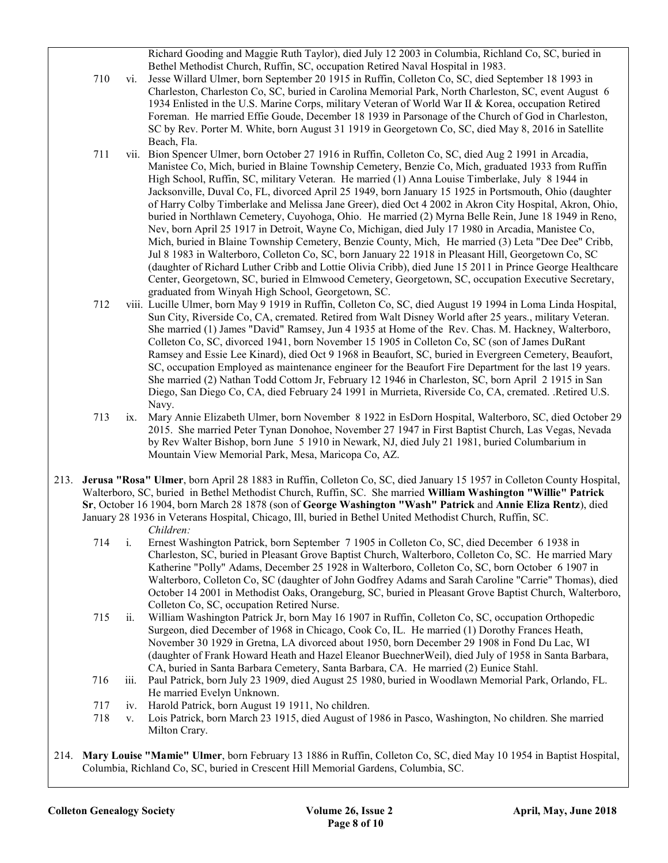Richard Gooding and Maggie Ruth Taylor), died July 12 2003 in Columbia, Richland Co, SC, buried in Bethel Methodist Church, Ruffin, SC, occupation Retired Naval Hospital in 1983.

- 710 vi. Jesse Willard Ulmer, born September 20 1915 in Ruffin, Colleton Co, SC, died September 18 1993 in Charleston, Charleston Co, SC, buried in Carolina Memorial Park, North Charleston, SC, event August 6 1934 Enlisted in the U.S. Marine Corps, military Veteran of World War II & Korea, occupation Retired Foreman. He married Effie Goude, December 18 1939 in Parsonage of the Church of God in Charleston, SC by Rev. Porter M. White, born August 31 1919 in Georgetown Co, SC, died May 8, 2016 in Satellite Beach, Fla.
- 711 vii. Bion Spencer Ulmer, born October 27 1916 in Ruffin, Colleton Co, SC, died Aug 2 1991 in Arcadia, Manistee Co, Mich, buried in Blaine Township Cemetery, Benzie Co, Mich, graduated 1933 from Ruffin High School, Ruffin, SC, military Veteran. He married (1) Anna Louise Timberlake, July 8 1944 in Jacksonville, Duval Co, FL, divorced April 25 1949, born January 15 1925 in Portsmouth, Ohio (daughter of Harry Colby Timberlake and Melissa Jane Greer), died Oct 4 2002 in Akron City Hospital, Akron, Ohio, buried in Northlawn Cemetery, Cuyohoga, Ohio. He married (2) Myrna Belle Rein, June 18 1949 in Reno, Nev, born April 25 1917 in Detroit, Wayne Co, Michigan, died July 17 1980 in Arcadia, Manistee Co, Mich, buried in Blaine Township Cemetery, Benzie County, Mich, He married (3) Leta "Dee Dee" Cribb, Jul 8 1983 in Walterboro, Colleton Co, SC, born January 22 1918 in Pleasant Hill, Georgetown Co, SC (daughter of Richard Luther Cribb and Lottie Olivia Cribb), died June 15 2011 in Prince George Healthcare Center, Georgetown, SC, buried in Elmwood Cemetery, Georgetown, SC, occupation Executive Secretary, graduated from Winyah High School, Georgetown, SC.
- 712 viii. Lucille Ulmer, born May 9 1919 in Ruffin, Colleton Co, SC, died August 19 1994 in Loma Linda Hospital, Sun City, Riverside Co, CA, cremated. Retired from Walt Disney World after 25 years., military Veteran. She married (1) James "David" Ramsey, Jun 4 1935 at Home of the Rev. Chas. M. Hackney, Walterboro, Colleton Co, SC, divorced 1941, born November 15 1905 in Colleton Co, SC (son of James DuRant Ramsey and Essie Lee Kinard), died Oct 9 1968 in Beaufort, SC, buried in Evergreen Cemetery, Beaufort, SC, occupation Employed as maintenance engineer for the Beaufort Fire Department for the last 19 years. She married (2) Nathan Todd Cottom Jr, February 12 1946 in Charleston, SC, born April 2 1915 in San Diego, San Diego Co, CA, died February 24 1991 in Murrieta, Riverside Co, CA, cremated. .Retired U.S. Navy.
- 713 ix. Mary Annie Elizabeth Ulmer, born November 8 1922 in EsDorn Hospital, Walterboro, SC, died October 29 2015. She married Peter Tynan Donohoe, November 27 1947 in First Baptist Church, Las Vegas, Nevada by Rev Walter Bishop, born June 5 1910 in Newark, NJ, died July 21 1981, buried Columbarium in Mountain View Memorial Park, Mesa, Maricopa Co, AZ.
- 213. Jerusa "Rosa" Ulmer, born April 28 1883 in Ruffin, Colleton Co, SC, died January 15 1957 in Colleton County Hospital, Walterboro, SC, buried in Bethel Methodist Church, Ruffin, SC. She married William Washington "Willie" Patrick Sr, October 16 1904, born March 28 1878 (son of George Washington "Wash" Patrick and Annie Eliza Rentz), died January 28 1936 in Veterans Hospital, Chicago, Ill, buried in Bethel United Methodist Church, Ruffin, SC. Children:
	- 714 i. Ernest Washington Patrick, born September 7 1905 in Colleton Co, SC, died December 6 1938 in Charleston, SC, buried in Pleasant Grove Baptist Church, Walterboro, Colleton Co, SC. He married Mary Katherine "Polly" Adams, December 25 1928 in Walterboro, Colleton Co, SC, born October 6 1907 in Walterboro, Colleton Co, SC (daughter of John Godfrey Adams and Sarah Caroline "Carrie" Thomas), died October 14 2001 in Methodist Oaks, Orangeburg, SC, buried in Pleasant Grove Baptist Church, Walterboro, Colleton Co, SC, occupation Retired Nurse.
	- 715 ii. William Washington Patrick Jr, born May 16 1907 in Ruffin, Colleton Co, SC, occupation Orthopedic Surgeon, died December of 1968 in Chicago, Cook Co, IL. He married (1) Dorothy Frances Heath, November 30 1929 in Gretna, LA divorced about 1950, born December 29 1908 in Fond Du Lac, WI (daughter of Frank Howard Heath and Hazel Eleanor BuechnerWeil), died July of 1958 in Santa Barbara, CA, buried in Santa Barbara Cemetery, Santa Barbara, CA. He married (2) Eunice Stahl.
	- 716 iii. Paul Patrick, born July 23 1909, died August 25 1980, buried in Woodlawn Memorial Park, Orlando, FL. He married Evelyn Unknown.
	- 717 iv. Harold Patrick, born August 19 1911, No children.
	- 718 v. Lois Patrick, born March 23 1915, died August of 1986 in Pasco, Washington, No children. She married Milton Crary.
- 214. Mary Louise "Mamie" Ulmer, born February 13 1886 in Ruffin, Colleton Co, SC, died May 10 1954 in Baptist Hospital, Columbia, Richland Co, SC, buried in Crescent Hill Memorial Gardens, Columbia, SC.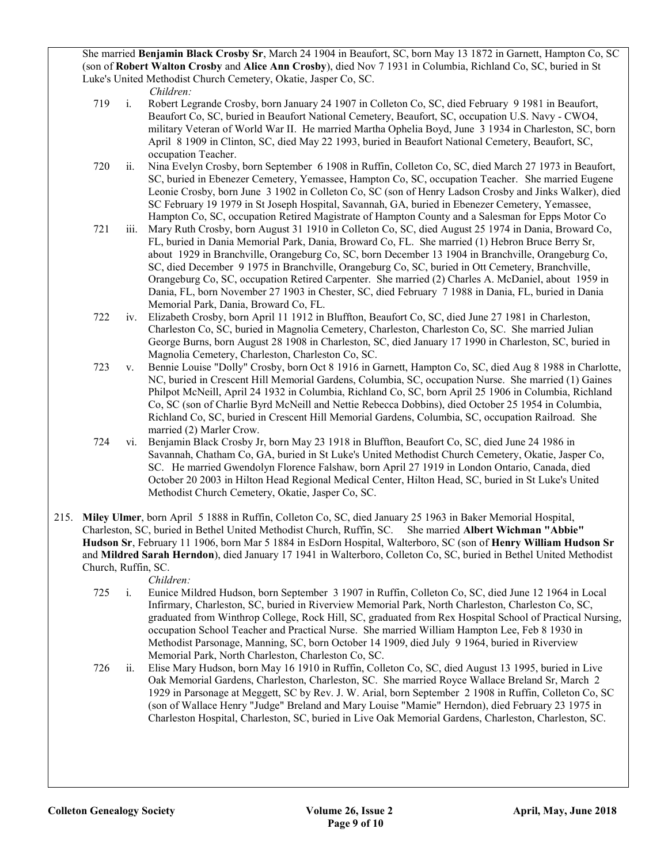She married Benjamin Black Crosby Sr, March 24 1904 in Beaufort, SC, born May 13 1872 in Garnett, Hampton Co, SC (son of Robert Walton Crosby and Alice Ann Crosby), died Nov 7 1931 in Columbia, Richland Co, SC, buried in St Luke's United Methodist Church Cemetery, Okatie, Jasper Co, SC.

Children:

- 719 i. Robert Legrande Crosby, born January 24 1907 in Colleton Co, SC, died February 9 1981 in Beaufort, Beaufort Co, SC, buried in Beaufort National Cemetery, Beaufort, SC, occupation U.S. Navy - CWO4, military Veteran of World War II. He married Martha Ophelia Boyd, June 3 1934 in Charleston, SC, born April 8 1909 in Clinton, SC, died May 22 1993, buried in Beaufort National Cemetery, Beaufort, SC, occupation Teacher.
- 720 ii. Nina Evelyn Crosby, born September 6 1908 in Ruffin, Colleton Co, SC, died March 27 1973 in Beaufort, SC, buried in Ebenezer Cemetery, Yemassee, Hampton Co, SC, occupation Teacher. She married Eugene Leonie Crosby, born June 3 1902 in Colleton Co, SC (son of Henry Ladson Crosby and Jinks Walker), died SC February 19 1979 in St Joseph Hospital, Savannah, GA, buried in Ebenezer Cemetery, Yemassee, Hampton Co, SC, occupation Retired Magistrate of Hampton County and a Salesman for Epps Motor Co
- 721 iii. Mary Ruth Crosby, born August 31 1910 in Colleton Co, SC, died August 25 1974 in Dania, Broward Co, FL, buried in Dania Memorial Park, Dania, Broward Co, FL. She married (1) Hebron Bruce Berry Sr, about 1929 in Branchville, Orangeburg Co, SC, born December 13 1904 in Branchville, Orangeburg Co, SC, died December 9 1975 in Branchville, Orangeburg Co, SC, buried in Ott Cemetery, Branchville, Orangeburg Co, SC, occupation Retired Carpenter. She married (2) Charles A. McDaniel, about 1959 in Dania, FL, born November 27 1903 in Chester, SC, died February 7 1988 in Dania, FL, buried in Dania Memorial Park, Dania, Broward Co, FL.
- 722 iv. Elizabeth Crosby, born April 11 1912 in Bluffton, Beaufort Co, SC, died June 27 1981 in Charleston, Charleston Co, SC, buried in Magnolia Cemetery, Charleston, Charleston Co, SC. She married Julian George Burns, born August 28 1908 in Charleston, SC, died January 17 1990 in Charleston, SC, buried in Magnolia Cemetery, Charleston, Charleston Co, SC.
- 723 v. Bennie Louise "Dolly" Crosby, born Oct 8 1916 in Garnett, Hampton Co, SC, died Aug 8 1988 in Charlotte, NC, buried in Crescent Hill Memorial Gardens, Columbia, SC, occupation Nurse. She married (1) Gaines Philpot McNeill, April 24 1932 in Columbia, Richland Co, SC, born April 25 1906 in Columbia, Richland Co, SC (son of Charlie Byrd McNeill and Nettie Rebecca Dobbins), died October 25 1954 in Columbia, Richland Co, SC, buried in Crescent Hill Memorial Gardens, Columbia, SC, occupation Railroad. She married (2) Marler Crow.
- 724 vi. Benjamin Black Crosby Jr, born May 23 1918 in Bluffton, Beaufort Co, SC, died June 24 1986 in Savannah, Chatham Co, GA, buried in St Luke's United Methodist Church Cemetery, Okatie, Jasper Co, SC. He married Gwendolyn Florence Falshaw, born April 27 1919 in London Ontario, Canada, died October 20 2003 in Hilton Head Regional Medical Center, Hilton Head, SC, buried in St Luke's United Methodist Church Cemetery, Okatie, Jasper Co, SC.
- 215. Miley Ulmer, born April 5 1888 in Ruffin, Colleton Co, SC, died January 25 1963 in Baker Memorial Hospital, Charleston, SC, buried in Bethel United Methodist Church, Ruffin, SC. She married Albert Wichman "Abbie" Hudson Sr, February 11 1906, born Mar 5 1884 in EsDorn Hospital, Walterboro, SC (son of Henry William Hudson Sr and Mildred Sarah Herndon), died January 17 1941 in Walterboro, Colleton Co, SC, buried in Bethel United Methodist Church, Ruffin, SC.

Children:

- 725 i. Eunice Mildred Hudson, born September 3 1907 in Ruffin, Colleton Co, SC, died June 12 1964 in Local Infirmary, Charleston, SC, buried in Riverview Memorial Park, North Charleston, Charleston Co, SC, graduated from Winthrop College, Rock Hill, SC, graduated from Rex Hospital School of Practical Nursing, occupation School Teacher and Practical Nurse. She married William Hampton Lee, Feb 8 1930 in Methodist Parsonage, Manning, SC, born October 14 1909, died July 9 1964, buried in Riverview Memorial Park, North Charleston, Charleston Co, SC.
- 726 ii. Elise Mary Hudson, born May 16 1910 in Ruffin, Colleton Co, SC, died August 13 1995, buried in Live Oak Memorial Gardens, Charleston, Charleston, SC. She married Royce Wallace Breland Sr, March 2 1929 in Parsonage at Meggett, SC by Rev. J. W. Arial, born September 2 1908 in Ruffin, Colleton Co, SC (son of Wallace Henry "Judge" Breland and Mary Louise "Mamie" Herndon), died February 23 1975 in Charleston Hospital, Charleston, SC, buried in Live Oak Memorial Gardens, Charleston, Charleston, SC.